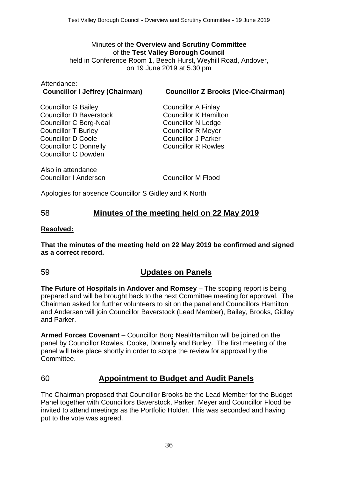# Minutes of the **Overview and Scrutiny Committee** of the **Test Valley Borough Council**

held in Conference Room 1, Beech Hurst, Weyhill Road, Andover, on 19 June 2019 at 5.30 pm

# Attendance:

#### **Councillor I Jeffrey (Chairman) Councillor Z Brooks (Vice-Chairman)**

Councillor G Bailey Councillor D Baverstock Councillor C Borg-Neal Councillor T Burley Councillor D Coole Councillor C Donnelly Councillor C Dowden

Councillor A Finlay Councillor K Hamilton Councillor N Lodge Councillor R Meyer Councillor J Parker Councillor R Rowles

Also in attendance Councillor I Andersen Councillor M Flood

Apologies for absence Councillor S Gidley and K North

## 58 **Minutes of the meeting held on 22 May 2019**

#### **Resolved:**

**That the minutes of the meeting held on 22 May 2019 be confirmed and signed as a correct record.**

## 59 **Updates on Panels**

**The Future of Hospitals in Andover and Romsey** – The scoping report is being prepared and will be brought back to the next Committee meeting for approval. The Chairman asked for further volunteers to sit on the panel and Councillors Hamilton and Andersen will join Councillor Baverstock (Lead Member), Bailey, Brooks, Gidley and Parker.

**Armed Forces Covenant** – Councillor Borg Neal/Hamilton will be joined on the panel by Councillor Rowles, Cooke, Donnelly and Burley. The first meeting of the panel will take place shortly in order to scope the review for approval by the Committee.

# 60 **Appointment to Budget and Audit Panels**

The Chairman proposed that Councillor Brooks be the Lead Member for the Budget Panel together with Councillors Baverstock, Parker, Meyer and Councillor Flood be invited to attend meetings as the Portfolio Holder. This was seconded and having put to the vote was agreed.